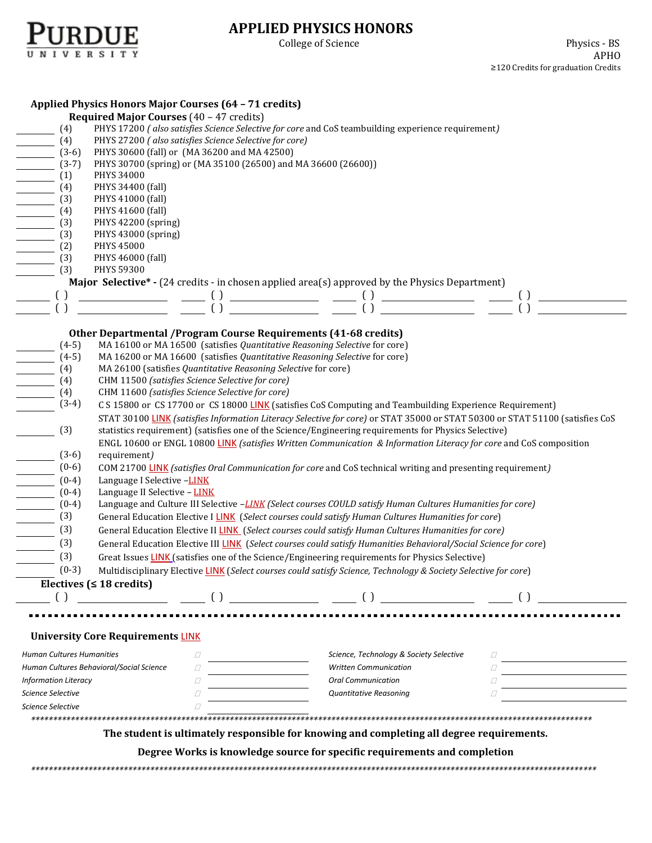

## **APPLIED PHYSICS HONORS**

|                                                 | <b>Applied Physics Honors Major Courses (64 - 71 credits)</b>                                                      |                    |                                                                                                                                                                                                                                                                                                                                                                                                                                 |                                         |                                                                                           |                                                                                                                              |  |  |
|-------------------------------------------------|--------------------------------------------------------------------------------------------------------------------|--------------------|---------------------------------------------------------------------------------------------------------------------------------------------------------------------------------------------------------------------------------------------------------------------------------------------------------------------------------------------------------------------------------------------------------------------------------|-----------------------------------------|-------------------------------------------------------------------------------------------|------------------------------------------------------------------------------------------------------------------------------|--|--|
| <b>Required Major Courses (40 - 47 credits)</b> |                                                                                                                    |                    |                                                                                                                                                                                                                                                                                                                                                                                                                                 |                                         |                                                                                           |                                                                                                                              |  |  |
| (4)                                             | PHYS 17200 (also satisfies Science Selective for core and CoS teambuilding experience requirement)                 |                    |                                                                                                                                                                                                                                                                                                                                                                                                                                 |                                         |                                                                                           |                                                                                                                              |  |  |
| (4)                                             | PHYS 27200 (also satisfies Science Selective for core)                                                             |                    |                                                                                                                                                                                                                                                                                                                                                                                                                                 |                                         |                                                                                           |                                                                                                                              |  |  |
| $(3-6)$                                         | PHYS 30600 (fall) or (MA 36200 and MA 42500)                                                                       |                    |                                                                                                                                                                                                                                                                                                                                                                                                                                 |                                         |                                                                                           |                                                                                                                              |  |  |
| $(3-7)$                                         | PHYS 30700 (spring) or (MA 35100 (26500) and MA 36600 (26600))                                                     |                    |                                                                                                                                                                                                                                                                                                                                                                                                                                 |                                         |                                                                                           |                                                                                                                              |  |  |
| (1)                                             | PHYS 34000                                                                                                         |                    |                                                                                                                                                                                                                                                                                                                                                                                                                                 |                                         |                                                                                           |                                                                                                                              |  |  |
| (4)                                             | PHYS 34400 (fall)                                                                                                  |                    |                                                                                                                                                                                                                                                                                                                                                                                                                                 |                                         |                                                                                           |                                                                                                                              |  |  |
| (3)                                             | PHYS 41000 (fall)                                                                                                  |                    |                                                                                                                                                                                                                                                                                                                                                                                                                                 |                                         |                                                                                           |                                                                                                                              |  |  |
| (4)                                             | PHYS 41600 (fall)                                                                                                  |                    |                                                                                                                                                                                                                                                                                                                                                                                                                                 |                                         |                                                                                           |                                                                                                                              |  |  |
| (3)                                             | PHYS 42200 (spring)                                                                                                |                    |                                                                                                                                                                                                                                                                                                                                                                                                                                 |                                         |                                                                                           |                                                                                                                              |  |  |
| (3)                                             | PHYS 43000 (spring)                                                                                                |                    |                                                                                                                                                                                                                                                                                                                                                                                                                                 |                                         |                                                                                           |                                                                                                                              |  |  |
| (2)                                             | PHYS 45000                                                                                                         |                    |                                                                                                                                                                                                                                                                                                                                                                                                                                 |                                         |                                                                                           |                                                                                                                              |  |  |
| (3)                                             | PHYS 46000 (fall)                                                                                                  |                    |                                                                                                                                                                                                                                                                                                                                                                                                                                 |                                         |                                                                                           |                                                                                                                              |  |  |
| (3)                                             | PHYS 59300                                                                                                         |                    |                                                                                                                                                                                                                                                                                                                                                                                                                                 |                                         |                                                                                           |                                                                                                                              |  |  |
|                                                 | <b>Major Selective*</b> - (24 credits - in chosen applied area(s) approved by the Physics Department)              |                    |                                                                                                                                                                                                                                                                                                                                                                                                                                 |                                         |                                                                                           |                                                                                                                              |  |  |
| $\left( \right)$                                |                                                                                                                    |                    |                                                                                                                                                                                                                                                                                                                                                                                                                                 |                                         |                                                                                           |                                                                                                                              |  |  |
|                                                 |                                                                                                                    | $\left( \right)$   | $\frac{1}{\sqrt{1-\frac{1}{2}}}\frac{1}{\sqrt{1-\frac{1}{2}}}\frac{1}{\sqrt{1-\frac{1}{2}}}\frac{1}{\sqrt{1-\frac{1}{2}}}\frac{1}{\sqrt{1-\frac{1}{2}}}\frac{1}{\sqrt{1-\frac{1}{2}}}\frac{1}{\sqrt{1-\frac{1}{2}}}\frac{1}{\sqrt{1-\frac{1}{2}}}\frac{1}{\sqrt{1-\frac{1}{2}}}\frac{1}{\sqrt{1-\frac{1}{2}}}\frac{1}{\sqrt{1-\frac{1}{2}}}\frac{1}{\sqrt{1-\frac{1}{2}}}\frac{1}{\sqrt{1-\frac{1}{2}}}\frac{1}{\sqrt{1-\frac{$ |                                         |                                                                                           |                                                                                                                              |  |  |
|                                                 |                                                                                                                    |                    |                                                                                                                                                                                                                                                                                                                                                                                                                                 |                                         |                                                                                           |                                                                                                                              |  |  |
|                                                 | Other Departmental / Program Course Requirements (41-68 credits)                                                   |                    |                                                                                                                                                                                                                                                                                                                                                                                                                                 |                                         |                                                                                           |                                                                                                                              |  |  |
| $(4-5)$                                         | MA 16100 or MA 16500 (satisfies Quantitative Reasoning Selective for core)                                         |                    |                                                                                                                                                                                                                                                                                                                                                                                                                                 |                                         |                                                                                           |                                                                                                                              |  |  |
| $(4-5)$                                         | MA 16200 or MA 16600 (satisfies Quantitative Reasoning Selective for core)                                         |                    |                                                                                                                                                                                                                                                                                                                                                                                                                                 |                                         |                                                                                           |                                                                                                                              |  |  |
| (4)                                             | MA 26100 (satisfies Quantitative Reasoning Selective for core)                                                     |                    |                                                                                                                                                                                                                                                                                                                                                                                                                                 |                                         |                                                                                           |                                                                                                                              |  |  |
| (4)                                             | CHM 11500 (satisfies Science Selective for core)                                                                   |                    |                                                                                                                                                                                                                                                                                                                                                                                                                                 |                                         |                                                                                           |                                                                                                                              |  |  |
| (4)                                             | CHM 11600 (satisfies Science Selective for core)                                                                   |                    |                                                                                                                                                                                                                                                                                                                                                                                                                                 |                                         |                                                                                           |                                                                                                                              |  |  |
| $(3-4)$                                         | C S 15800 or CS 17700 or CS 18000 LINK (satisfies CoS Computing and Teambuilding Experience Requirement)           |                    |                                                                                                                                                                                                                                                                                                                                                                                                                                 |                                         |                                                                                           |                                                                                                                              |  |  |
|                                                 |                                                                                                                    |                    |                                                                                                                                                                                                                                                                                                                                                                                                                                 |                                         |                                                                                           | STAT 30100 LINK (satisfies Information Literacy Selective for core) or STAT 35000 or STAT 50300 or STAT 51100 (satisfies CoS |  |  |
| (3)                                             | statistics requirement) (satisfies one of the Science/Engineering requirements for Physics Selective)              |                    |                                                                                                                                                                                                                                                                                                                                                                                                                                 |                                         |                                                                                           |                                                                                                                              |  |  |
|                                                 | ENGL 10600 or ENGL 10800 LINK (satisfies Written Communication & Information Literacy for core and CoS composition |                    |                                                                                                                                                                                                                                                                                                                                                                                                                                 |                                         |                                                                                           |                                                                                                                              |  |  |
| $(3-6)$                                         | requirement)                                                                                                       |                    |                                                                                                                                                                                                                                                                                                                                                                                                                                 |                                         |                                                                                           |                                                                                                                              |  |  |
| $(0-6)$                                         | COM 21700 LINK (satisfies Oral Communication for core and CoS technical writing and presenting requirement)        |                    |                                                                                                                                                                                                                                                                                                                                                                                                                                 |                                         |                                                                                           |                                                                                                                              |  |  |
| $(0-4)$                                         | Language I Selective -LINK                                                                                         |                    |                                                                                                                                                                                                                                                                                                                                                                                                                                 |                                         |                                                                                           |                                                                                                                              |  |  |
| $(0-4)$                                         | Language II Selective - LINK                                                                                       |                    |                                                                                                                                                                                                                                                                                                                                                                                                                                 |                                         |                                                                                           |                                                                                                                              |  |  |
| $(0-4)$                                         | Language and Culture III Selective -LINK (Select courses COULD satisfy Human Cultures Humanities for core)         |                    |                                                                                                                                                                                                                                                                                                                                                                                                                                 |                                         |                                                                                           |                                                                                                                              |  |  |
| (3)                                             | General Education Elective I LINK (Select courses could satisfy Human Cultures Humanities for core)                |                    |                                                                                                                                                                                                                                                                                                                                                                                                                                 |                                         |                                                                                           |                                                                                                                              |  |  |
| (3)                                             | General Education Elective II LINK (Select courses could satisfy Human Cultures Humanities for core)               |                    |                                                                                                                                                                                                                                                                                                                                                                                                                                 |                                         |                                                                                           |                                                                                                                              |  |  |
| (3)                                             | General Education Elective III LINK (Select courses could satisfy Humanities Behavioral/Social Science for core)   |                    |                                                                                                                                                                                                                                                                                                                                                                                                                                 |                                         |                                                                                           |                                                                                                                              |  |  |
| (3)                                             | Great Issues LINK (satisfies one of the Science/Engineering requirements for Physics Selective)                    |                    |                                                                                                                                                                                                                                                                                                                                                                                                                                 |                                         |                                                                                           |                                                                                                                              |  |  |
| $(0-3)$                                         | Multidisciplinary Elective LINK (Select courses could satisfy Science, Technology & Society Selective for core)    |                    |                                                                                                                                                                                                                                                                                                                                                                                                                                 |                                         |                                                                                           |                                                                                                                              |  |  |
|                                                 | Electives ( $\leq 18$ credits)                                                                                     |                    |                                                                                                                                                                                                                                                                                                                                                                                                                                 |                                         |                                                                                           |                                                                                                                              |  |  |
| $\left( \ \right)$                              |                                                                                                                    | $\left( \ \right)$ |                                                                                                                                                                                                                                                                                                                                                                                                                                 |                                         |                                                                                           |                                                                                                                              |  |  |
|                                                 |                                                                                                                    |                    |                                                                                                                                                                                                                                                                                                                                                                                                                                 |                                         | $\begin{tabular}{c} 0 & 0 & 0 & 0\\ \hline \end{tabular}$                                 |                                                                                                                              |  |  |
|                                                 |                                                                                                                    |                    |                                                                                                                                                                                                                                                                                                                                                                                                                                 |                                         |                                                                                           |                                                                                                                              |  |  |
|                                                 |                                                                                                                    |                    |                                                                                                                                                                                                                                                                                                                                                                                                                                 |                                         |                                                                                           |                                                                                                                              |  |  |
|                                                 | <b>University Core Requirements LINK</b>                                                                           |                    |                                                                                                                                                                                                                                                                                                                                                                                                                                 |                                         |                                                                                           |                                                                                                                              |  |  |
| <b>Human Cultures Humanities</b>                |                                                                                                                    | D                  |                                                                                                                                                                                                                                                                                                                                                                                                                                 | Science, Technology & Society Selective | D                                                                                         |                                                                                                                              |  |  |
|                                                 | Human Cultures Behavioral/Social Science                                                                           | 0                  |                                                                                                                                                                                                                                                                                                                                                                                                                                 | <b>Written Communication</b>            | П                                                                                         |                                                                                                                              |  |  |
| <b>Information Literacy</b>                     |                                                                                                                    | $\Box$             |                                                                                                                                                                                                                                                                                                                                                                                                                                 | <b>Oral Communication</b>               | П                                                                                         |                                                                                                                              |  |  |
| Science Selective                               |                                                                                                                    | $\Box$             |                                                                                                                                                                                                                                                                                                                                                                                                                                 | Quantitative Reasoning                  |                                                                                           |                                                                                                                              |  |  |
| Science Selective                               | Ω                                                                                                                  |                    |                                                                                                                                                                                                                                                                                                                                                                                                                                 |                                         |                                                                                           |                                                                                                                              |  |  |
|                                                 |                                                                                                                    |                    |                                                                                                                                                                                                                                                                                                                                                                                                                                 |                                         |                                                                                           |                                                                                                                              |  |  |
|                                                 |                                                                                                                    |                    |                                                                                                                                                                                                                                                                                                                                                                                                                                 |                                         | The student is ultimately responsible for knowing and completing all degree requirements. |                                                                                                                              |  |  |
|                                                 |                                                                                                                    |                    |                                                                                                                                                                                                                                                                                                                                                                                                                                 |                                         |                                                                                           |                                                                                                                              |  |  |
|                                                 |                                                                                                                    |                    |                                                                                                                                                                                                                                                                                                                                                                                                                                 |                                         | Degree Works is knowledge source for specific requirements and completion                 |                                                                                                                              |  |  |
|                                                 |                                                                                                                    |                    |                                                                                                                                                                                                                                                                                                                                                                                                                                 |                                         |                                                                                           |                                                                                                                              |  |  |
|                                                 |                                                                                                                    |                    |                                                                                                                                                                                                                                                                                                                                                                                                                                 |                                         |                                                                                           |                                                                                                                              |  |  |